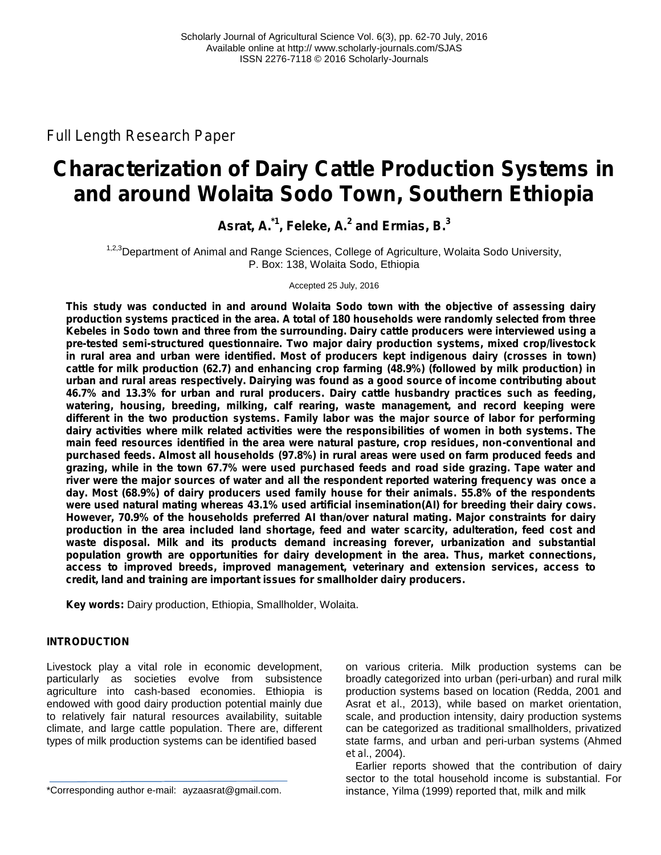*Full Length Research Paper*

# **Characterization of Dairy Cattle Production Systems in and around Wolaita Sodo Town, Southern Ethiopia**

**Asrat, A. \*1 , Feleke, A.<sup>2</sup> and Ermias, B.<sup>3</sup>**

<sup>1,2,3</sup>Department of Animal and Range Sciences, College of Agriculture, Wolaita Sodo University, P. Box: 138, Wolaita Sodo, Ethiopia

Accepted 25 July, 2016

**This study was conducted in and around Wolaita Sodo town with the objective of assessing dairy production systems practiced in the area. A total of 180 households were randomly selected from three Kebeles in Sodo town and three from the surrounding. Dairy cattle producers were interviewed using a pre-tested semi-structured questionnaire. Two major dairy production systems, mixed crop/livestock in rural area and urban were identified. Most of producers kept indigenous dairy (crosses in town) cattle for milk production (62.7) and enhancing crop farming (48.9%) (followed by milk production) in urban and rural areas respectively. Dairying was found as a good source of income contributing about 46.7% and 13.3% for urban and rural producers. Dairy cattle husbandry practices such as feeding, watering, housing, breeding, milking, calf rearing, waste management, and record keeping were different in the two production systems. Family labor was the major source of labor for performing dairy activities where milk related activities were the responsibilities of women in both systems. The main feed resources identified in the area were natural pasture, crop residues, non-conventional and purchased feeds. Almost all households (97.8%) in rural areas were used on farm produced feeds and grazing, while in the town 67.7% were used purchased feeds and road side grazing. Tape water and river were the major sources of water and all the respondent reported watering frequency was once a day. Most (68.9%) of dairy producers used family house for their animals. 55.8% of the respondents were used natural mating whereas 43.1% used artificial insemination(AI) for breeding their dairy cows. However, 70.9% of the households preferred AI than/over natural mating. Major constraints for dairy production in the area included land shortage, feed and water scarcity, adulteration, feed cost and waste disposal. Milk and its products demand increasing forever, urbanization and substantial population growth are opportunities for dairy development in the area. Thus, market connections, access to improved breeds, improved management, veterinary and extension services, access to credit, land and training are important issues for smallholder dairy producers.**

**Key words:** Dairy production, Ethiopia, Smallholder, Wolaita*.*

### **INTRODUCTION**

Livestock play a vital role in economic development, particularly as societies evolve from subsistence agriculture into cash-based economies. Ethiopia is endowed with good dairy production potential mainly due to relatively fair natural resources availability, suitable climate, and large cattle population. There are, different types of milk production systems can be identified based

\*Corresponding author e-mail: ayzaasrat@gmail.com.

on various criteria. Milk production systems can be broadly categorized into urban (peri-urban) and rural milk production systems based on location (Redda, 2001 and Asrat *et al*., 2013), while based on market orientation, scale, and production intensity, dairy production systems can be categorized as traditional smallholders, privatized state farms, and urban and peri-urban systems (Ahmed *et al*., 2004).

Earlier reports showed that the contribution of dairy sector to the total household income is substantial. For instance, Yilma (1999) reported that, milk and milk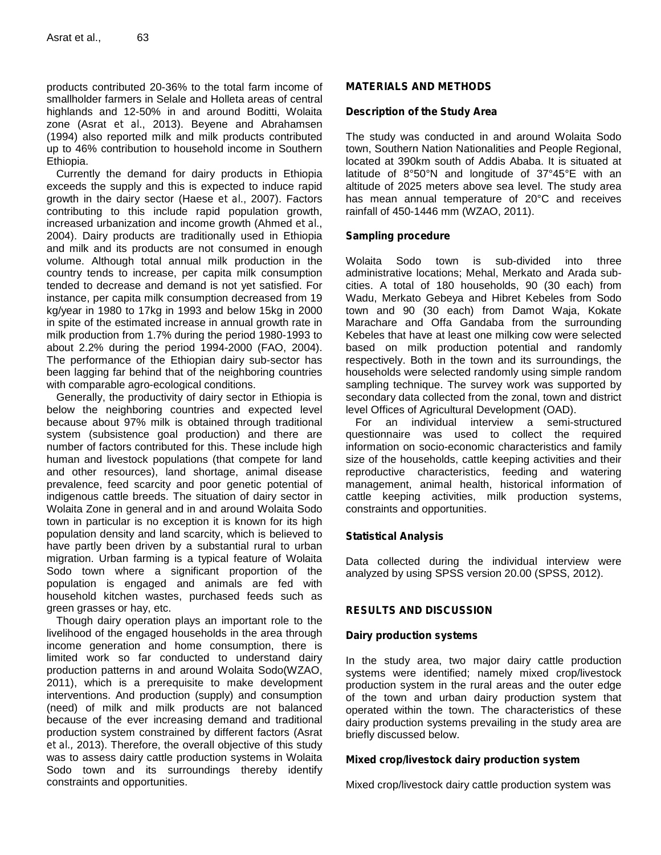products contributed 20-36% to the total farm income of smallholder farmers in Selale and Holleta areas of central highlands and 12-50% in and around Boditti, Wolaita zone (Asrat *et al*., 2013). Beyene and Abrahamsen (1994) also reported milk and milk products contributed up to 46% contribution to household income in Southern Ethiopia.

Currently the demand for dairy products in Ethiopia exceeds the supply and this is expected to induce rapid growth in the dairy sector (Haese *et al*., 2007). Factors contributing to this include rapid population growth, increased urbanization and income growth (Ahmed *et al*., 2004). Dairy products are traditionally used in Ethiopia and milk and its products are not consumed in enough volume. Although total annual milk production in the country tends to increase, per capita milk consumption tended to decrease and demand is not yet satisfied. For instance, per capita milk consumption decreased from 19 kg/year in 1980 to 17kg in 1993 and below 15kg in 2000 in spite of the estimated increase in annual growth rate in milk production from 1.7% during the period 1980-1993 to about 2.2% during the period 1994-2000 (FAO, 2004). The performance of the Ethiopian dairy sub-sector has been lagging far behind that of the neighboring countries with comparable agro-ecological conditions.

Generally, the productivity of dairy sector in Ethiopia is below the neighboring countries and expected level because about 97% milk is obtained through traditional system (subsistence goal production) and there are number of factors contributed for this. These include high human and livestock populations (that compete for land and other resources), land shortage, animal disease prevalence, feed scarcity and poor genetic potential of indigenous cattle breeds. The situation of dairy sector in Wolaita Zone in general and in and around Wolaita Sodo town in particular is no exception it is known for its high population density and land scarcity, which is believed to have partly been driven by a substantial rural to urban migration. Urban farming is a typical feature of Wolaita Sodo town where a significant proportion of the population is engaged and animals are fed with household kitchen wastes, purchased feeds such as green grasses or hay, etc.

Though dairy operation plays an important role to the livelihood of the engaged households in the area through income generation and home consumption, there is limited work so far conducted to understand dairy production patterns in and around Wolaita Sodo(WZAO, 2011), which is a prerequisite to make development interventions. And production (supply) and consumption (need) of milk and milk products are not balanced because of the ever increasing demand and traditional production system constrained by different factors (Asrat *et al.,* 2013). Therefore, the overall objective of this study was to assess dairy cattle production systems in Wolaita Sodo town and its surroundings thereby identify constraints and opportunities.

#### **MATERIALS AND METHODS**

#### **Description of the Study Area**

The study was conducted in and around Wolaita Sodo town, Southern Nation Nationalities and People Regional, located at 390km south of Addis Ababa. It is situated at latitude of 8°50°N and longitude of 37°45°E with an altitude of 2025 meters above sea level. The study area has mean annual temperature of 20°C and receives rainfall of 450-1446 mm (WZAO, 2011).

#### **Sampling procedure**

Sodo town is sub-divided into three administrative locations; Mehal, Merkato and Arada sub cities. A total of 180 households, 90 (30 each) from Wadu, Merkato Gebeya and Hibret Kebeles from Sodo town and 90 (30 each) from Damot Waja, Kokate Marachare and Offa Gandaba from the surrounding Kebeles that have at least one milking cow were selected based on milk production potential and randomly respectively. Both in the town and its surroundings, the households were selected randomly using simple random sampling technique. The survey work was supported by secondary data collected from the zonal, town and district level Offices of Agricultural Development (OAD).

For an individual interview a semi-structured questionnaire was used to collect the required information on socio-economic characteristics and family size of the households, cattle keeping activities and their reproductive characteristics, feeding and watering management, animal health, historical information of cattle keeping activities, milk production systems, constraints and opportunities.

#### **Statistical Analysis**

Data collected during the individual interview were analyzed by using SPSS version 20.00 (SPSS, 2012).

## **RESULTS AND DISCUSSION**

#### **Dairy production systems**

In the study area, two major dairy cattle production systems were identified; namely mixed crop/livestock production system in the rural areas and the outer edge of the town and urban dairy production system that operated within the town. The characteristics of these dairy production systems prevailing in the study area are briefly discussed below.

#### **Mixed crop/livestock dairy production system**

Mixed crop/livestock dairy cattle production system was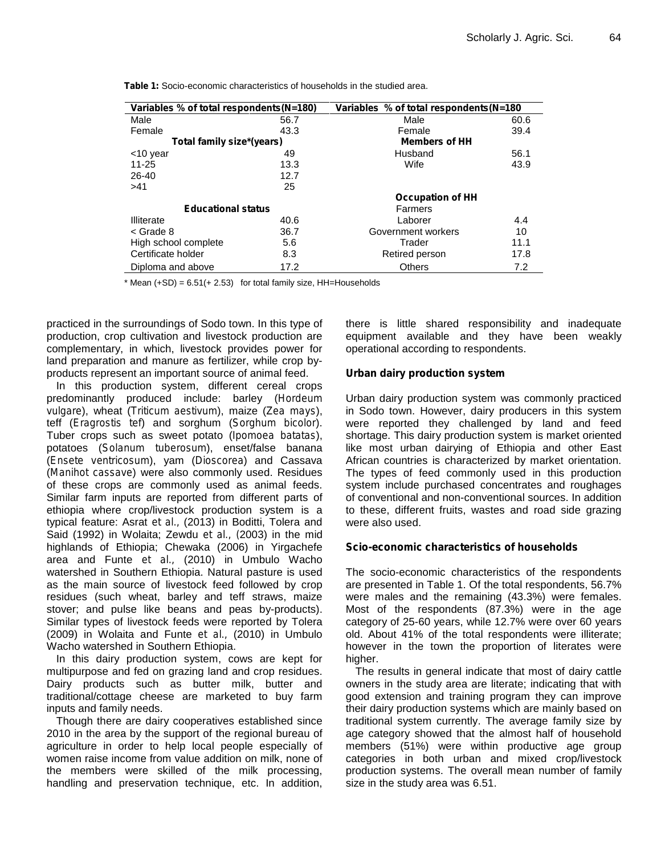| Variables % of total respondents (N=180) |      | Variables % of total respondents (N=180 |      |  |
|------------------------------------------|------|-----------------------------------------|------|--|
| Male                                     | 56.7 | Male                                    | 60.6 |  |
| Female                                   | 43.3 | Female                                  | 39.4 |  |
| Total family size*(years)                |      | <b>Members of HH</b>                    |      |  |
| <10 year                                 | 49   | Husband                                 | 56.1 |  |
| $11 - 25$                                | 13.3 | Wife                                    | 43.9 |  |
| $26 - 40$                                | 12.7 |                                         |      |  |
| >41                                      | 25   |                                         |      |  |
|                                          |      | <b>Occupation of HH</b>                 |      |  |
| <b>Educational status</b>                |      | Farmers                                 |      |  |
| Illiterate                               | 40.6 | Laborer                                 | 4.4  |  |
| < Grade 8                                | 36.7 | Government workers                      | 10   |  |
| High school complete                     | 5.6  | Trader                                  | 11.1 |  |
| Certificate holder                       | 8.3  | Retired person                          | 17.8 |  |
| Diploma and above                        | 17.2 | <b>Others</b>                           | 7.2  |  |

**Table 1:** Socio-economic characteristics of households in the studied area.

 $*$  Mean  $(+SD) = 6.51(+2.53)$  for total family size, HH=Households

practiced in the surroundings of Sodo town. In this type of production, crop cultivation and livestock production are complementary, in which, livestock provides power for land preparation and manure as fertilizer, while crop by products represent an important source of animal feed.

In this production system, different cereal crops predominantly produced include: barley (*Hordeum vulgare*), wheat (*Triticum aestivum*), maize (*Zea mays*), teff (*Eragrostis tef*) and sorghum (*Sorghum bicolor*). Tuber crops such as sweet potato (*Ipomoea batatas*), potatoes (*Solanum tuberosum*), enset/false banana (*Ensete ventricosum*), yam (*Dioscorea*) and Cassava (*Manihot cassave*) were also commonly used. Residues of these crops are commonly used as animal feeds. Similar farm inputs are reported from different parts of ethiopia where crop/livestock production system is a typical feature: Asrat *et al.,* (2013) in Boditti, Tolera and Said (1992) in Wolaita; Zewdu *et al., (*2003) in the mid highlands of Ethiopia; Chewaka (2006) in Yirgachefe area and Funte *et al.,* (2010) in Umbulo Wacho watershed in Southern Ethiopia. Natural pasture is used as the main source of livestock feed followed by crop residues (such wheat, barley and teff straws, maize stover; and pulse like beans and peas by-products). Similar types of livestock feeds were reported by Tolera (2009) in Wolaita and Funte *et al.,* (2010) in Umbulo Wacho watershed in Southern Ethiopia.

In this dairy production system, cows are kept for multipurpose and fed on grazing land and crop residues. Dairy products such as butter milk, butter and traditional/cottage cheese are marketed to buy farm inputs and family needs.

Though there are dairy cooperatives established since 2010 in the area by the support of the regional bureau of agriculture in order to help local people especially of women raise income from value addition on milk, none of the members were skilled of the milk processing, handling and preservation technique, etc. In addition,

there is little shared responsibility and inadequate equipment available and they have been weakly operational according to respondents.

#### **Urban dairy production system**

Urban dairy production system was commonly practiced in Sodo town. However, dairy producers in this system were reported they challenged by land and feed shortage. This dairy production system is market oriented like most urban dairying of Ethiopia and other East African countries is characterized by market orientation. The types of feed commonly used in this production system include purchased concentrates and roughages of conventional and non-conventional sources. In addition to these, different fruits, wastes and road side grazing were also used.

#### **Scio-economic characteristics of households**

The socio-economic characteristics of the respondents are presented in Table 1. Of the total respondents, 56.7% were males and the remaining (43.3%) were females. Most of the respondents (87.3%) were in the age category of 25-60 years, while 12.7% were over 60 years old. About 41% of the total respondents were illiterate; however in the town the proportion of literates were higher.

The results in general indicate that most of dairy cattle owners in the study area are literate; indicating that with good extension and training program they can improve their dairy production systems which are mainly based on traditional system currently. The average family size by age category showed that the almost half of household members (51%) were within productive age group categories in both urban and mixed crop/livestock production systems. The overall mean number of family size in the study area was 6.51.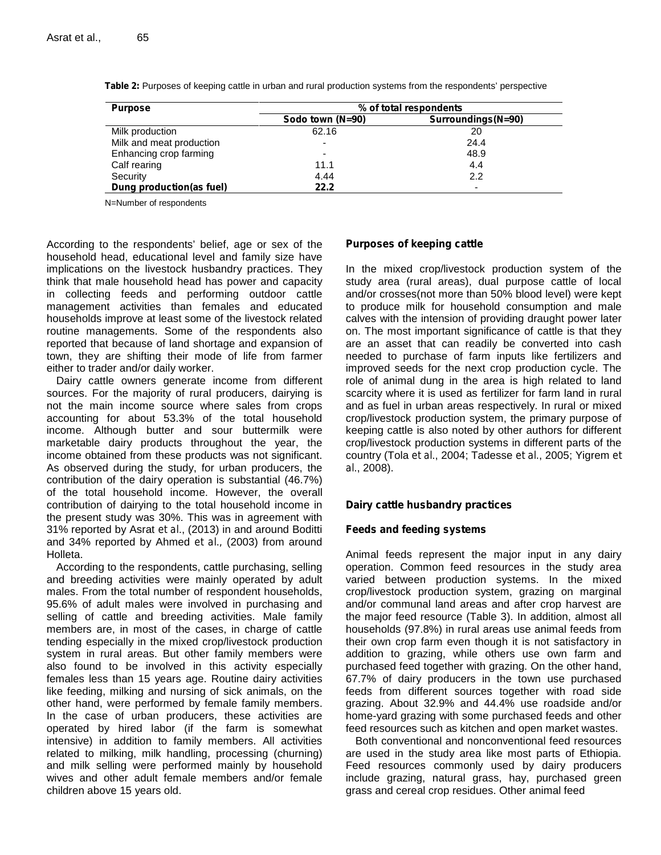| <b>Purpose</b>           | % of total respondents |                    |  |
|--------------------------|------------------------|--------------------|--|
|                          | Sodo town (N=90)       | Surroundings(N=90) |  |
| Milk production          | 62.16                  | 20                 |  |
| Milk and meat production | -                      | 24.4               |  |
| Enhancing crop farming   | -                      | 48.9               |  |
| Calf rearing             | 11.1                   | 4.4                |  |
| Security                 | 4.44                   | 2.2                |  |
| Dung production(as fuel) | 22.2                   |                    |  |

**Table 2:** Purposes of keeping cattle in urban and rural production systems from the respondents' perspective

N=Number of respondents

According to the respondents' belief, age or sex of the household head, educational level and family size have implications on the livestock husbandry practices. They think that male household head has power and capacity in collecting feeds and performing outdoor cattle management activities than females and educated households improve at least some of the livestock related routine managements. Some of the respondents also reported that because of land shortage and expansion of town, they are shifting their mode of life from farmer either to trader and/or daily worker.

Dairy cattle owners generate income from different sources. For the majority of rural producers, dairying is not the main income source where sales from crops accounting for about 53.3% of the total household income. Although butter and sour buttermilk were marketable dairy products throughout the year, the income obtained from these products was not significant. As observed during the study, for urban producers, the contribution of the dairy operation is substantial (46.7%) of the total household income. However, the overall contribution of dairying to the total household income in the present study was 30%. This was in agreement with 31% reported by Asrat *et al*., (2013) in and around Boditti and 34% reported by Ahmed *et al.,* (2003) from around Holleta.

According to the respondents, cattle purchasing, selling and breeding activities were mainly operated by adult males. From the total number of respondent households, 95.6% of adult males were involved in purchasing and selling of cattle and breeding activities. Male family members are, in most of the cases, in charge of cattle tending especially in the mixed crop/livestock production system in rural areas. But other family members were also found to be involved in this activity especially females less than 15 years age. Routine dairy activities like feeding, milking and nursing of sick animals, on the other hand, were performed by female family members. In the case of urban producers, these activities are operated by hired labor (if the farm is somewhat intensive) in addition to family members. All activities related to milking, milk handling, processing (churning) and milk selling were performed mainly by household wives and other adult female members and/or female children above 15 years old.

#### **Purposes of keeping cattle**

In the mixed crop/livestock production system of the study area (rural areas), dual purpose cattle of local and/or crosses(not more than 50% blood level) were kept to produce milk for household consumption and male calves with the intension of providing draught power later on. The most important significance of cattle is that they are an asset that can readily be converted into cash needed to purchase of farm inputs like fertilizers and improved seeds for the next crop production cycle. The role of animal dung in the area is high related to land scarcity where it is used as fertilizer for farm land in rural and as fuel in urban areas respectively. In rural or mixed crop/livestock production system, the primary purpose of keeping cattle is also noted by other authors for different crop/livestock production systems in different parts of the country (Tola *et al*., 2004; Tadesse *et al.*, 2005; Yigrem *et al*., 2008).

#### **Dairy cattle husbandry practices**

#### **Feeds and feeding systems**

Animal feeds represent the major input in any dairy operation. Common feed resources in the study area varied between production systems. In the mixed crop/livestock production system, grazing on marginal and/or communal land areas and after crop harvest are the major feed resource (Table 3). In addition, almost all households (97.8%) in rural areas use animal feeds from their own crop farm even though it is not satisfactory in addition to grazing, while others use own farm and purchased feed together with grazing. On the other hand, 67.7% of dairy producers in the town use purchased feeds from different sources together with road side grazing. About 32.9% and 44.4% use roadside and/or home-yard grazing with some purchased feeds and other feed resources such as kitchen and open market wastes.

Both conventional and nonconventional feed resources are used in the study area like most parts of Ethiopia. Feed resources commonly used by dairy producers include grazing, natural grass, hay, purchased green grass and cereal crop residues. Other animal feed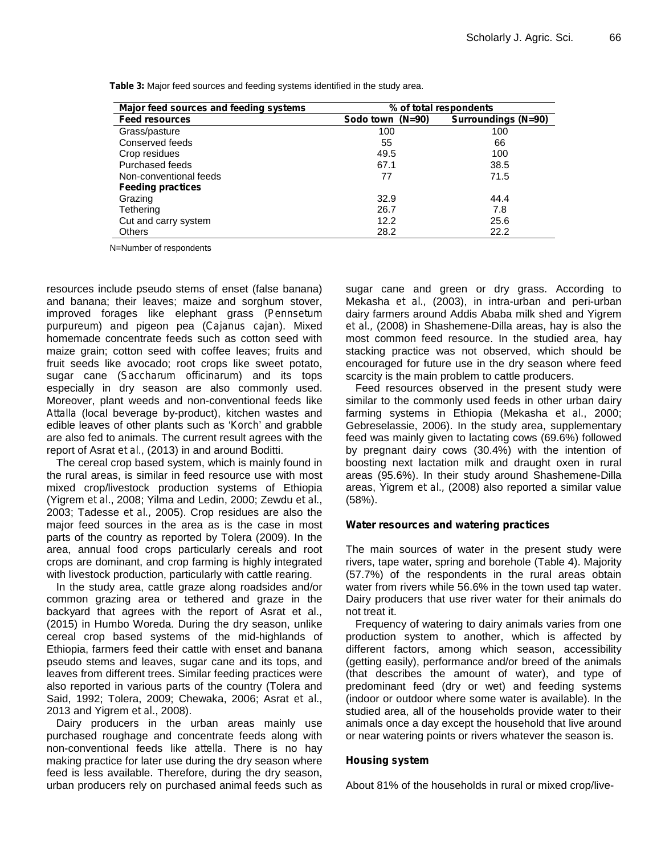| Major feed sources and feeding systems | % of total respondents |                            |  |
|----------------------------------------|------------------------|----------------------------|--|
| <b>Feed resources</b>                  | $(N=90)$<br>Sodo town  | <b>Surroundings (N=90)</b> |  |
| Grass/pasture                          | 100                    | 100                        |  |
| Conserved feeds                        | 55                     | 66                         |  |
| Crop residues                          | 49.5                   | 100                        |  |
| Purchased feeds                        | 67.1                   | 38.5                       |  |
| Non-conventional feeds                 | 77                     | 71.5                       |  |
| <b>Feeding practices</b>               |                        |                            |  |
| Grazing                                | 32.9                   | 44.4                       |  |
| Tethering                              | 26.7                   | 7.8                        |  |
| Cut and carry system                   | 12.2                   | 25.6                       |  |
| <b>Others</b>                          | 28.2                   | 22.2                       |  |

**Table 3:** Major feed sources and feeding systems identified in the study area.

N=Number of respondents

resources include pseudo stems of enset (false banana) and banana; their leaves; maize and sorghum stover, improved forages like elephant grass (*Pennsetum purpureum*) and pigeon pea (*Cajanus cajan*). Mixed homemade concentrate feeds such as cotton seed with maize grain; cotton seed with coffee leaves; fruits and fruit seeds like avocado; root crops like sweet potato, sugar cane (*Saccharum officinarum*) and its tops especially in dry season are also commonly used. Moreover, plant weeds and non-conventional feeds like *Attalla* (local beverage by-product), kitchen wastes and edible leaves of other plants such as '*Korch*' and grabble are also fed to animals. The current result agrees with the report of Asrat *et al*., (2013) in and around Boditti.

The cereal crop based system, which is mainly found in the rural areas, is similar in feed resource use with most mixed crop/livestock production systems of Ethiopia (Yigrem *et al*., 2008; Yilma and Ledin, 2000; Zewdu *et al*., 2003; Tadesse *et al.,* 2005). Crop residues are also the major feed sources in the area as is the case in most parts of the country as reported by Tolera (2009). In the area, annual food crops particularly cereals and root crops are dominant, and crop farming is highly integrated with livestock production, particularly with cattle rearing.

In the study area, cattle graze along roadsides and/or common grazing area or tethered and graze in the backyard that agrees with the report of Asrat et al., (2015) in Humbo Woreda. During the dry season, unlike cereal crop based systems of the mid-highlands of Ethiopia, farmers feed their cattle with enset and banana pseudo stems and leaves, sugar cane and its tops, and leaves from different trees. Similar feeding practices were also reported in various parts of the country (Tolera and Said, 1992; Tolera, 2009; Chewaka, 2006; Asrat *et al*., 2013 and Yigrem *et al*., 2008).

Dairy producers in the urban areas mainly use purchased roughage and concentrate feeds along with non-conventional feeds like *attella*. There is no hay making practice for later use during the dry season where feed is less available. Therefore, during the dry season, urban producers rely on purchased animal feeds such as sugar cane and green or dry grass. According to Mekasha *et al.,* (2003), in intra-urban and peri-urban dairy farmers around Addis Ababa milk shed and Yigrem *et al.,* (2008) in Shashemene-Dilla areas, hay is also the most common feed resource. In the studied area, hay stacking practice was not observed, which should be encouraged for future use in the dry season where feed scarcity is the main problem to cattle producers.

Feed resources observed in the present study were similar to the commonly used feeds in other urban dairy farming systems in Ethiopia (Mekasha *et al.*, 2000; Gebreselassie, 2006). In the study area, supplementary feed was mainly given to lactating cows (69.6%) followed by pregnant dairy cows (30.4%) with the intention of boosting next lactation milk and draught oxen in rural areas (95.6%). In their study around Shashemene-Dilla areas, Yigrem *et al.,* (2008) also reported a similar value (58%).

#### **Water resources and watering practices**

The main sources of water in the present study were rivers, tape water, spring and borehole (Table 4). Majority (57.7%) of the respondents in the rural areas obtain water from rivers while 56.6% in the town used tap water. Dairy producers that use river water for their animals do not treat it.

Frequency of watering to dairy animals varies from one production system to another, which is affected by different factors, among which season, accessibility (getting easily), performance and/or breed of the animals (that describes the amount of water), and type of predominant feed (dry or wet) and feeding systems (indoor or outdoor where some water is available). In the studied area, all of the households provide water to their animals once a day except the household that live around or near watering points or rivers whatever the season is.

#### **Housing system**

About 81% of the households in rural or mixed crop/live-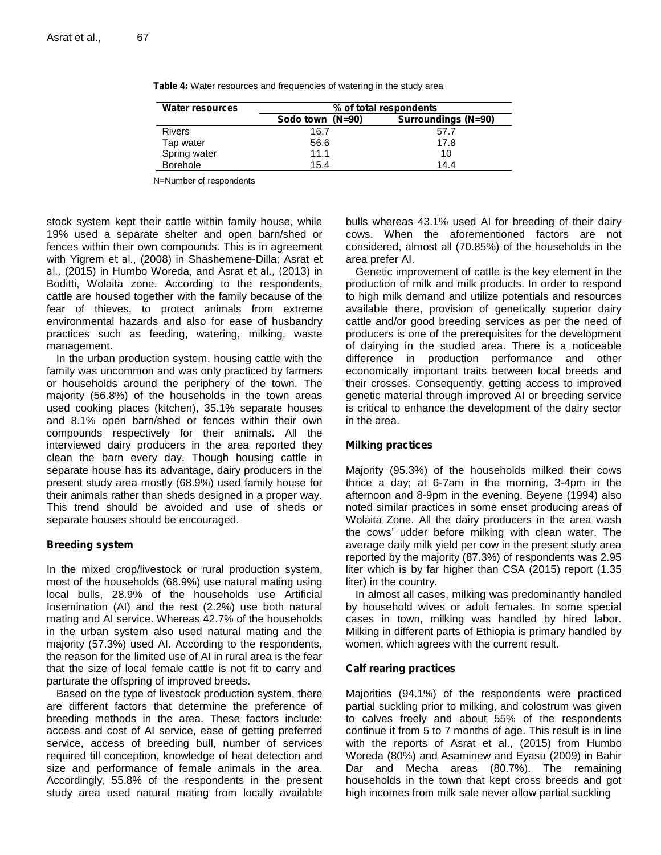| <b>Water resources</b> | % of total respondents |                            |  |  |
|------------------------|------------------------|----------------------------|--|--|
|                        | Sodo town (N=90)       | <b>Surroundings (N=90)</b> |  |  |
| <b>Rivers</b>          | 16.7                   | 57.7                       |  |  |
| Tap water              | 56.6                   | 17.8                       |  |  |
| Spring water           | 11.1                   | 10                         |  |  |
| <b>Borehole</b>        | 15.4                   | 14.4                       |  |  |

**Table 4:** Water resources and frequencies of watering in the study area

N=Number of respondents

stock system kept their cattle within family house, while 19% used a separate shelter and open barn/shed or fences within their own compounds. This is in agreement with Yigrem *et al*., (2008) in Shashemene-Dilla; Asrat *et al.,* (2015) in Humbo Woreda, and Asrat *et al., (*2013) in Boditti, Wolaita zone. According to the respondents, cattle are housed together with the family because of the fear of thieves, to protect animals from extreme environmental hazards and also for ease of husbandry practices such as feeding, watering, milking, waste management.

In the urban production system, housing cattle with the family was uncommon and was only practiced by farmers or households around the periphery of the town. The majority (56.8%) of the households in the town areas used cooking places (kitchen), 35.1% separate houses and 8.1% open barn/shed or fences within their own compounds respectively for their animals. All the interviewed dairy producers in the area reported they clean the barn every day. Though housing cattle in separate house has its advantage, dairy producers in the present study area mostly (68.9%) used family house for their animals rather than sheds designed in a proper way. This trend should be avoided and use of sheds or separate houses should be encouraged.

#### **Breeding system**

In the mixed crop/livestock or rural production system, most of the households (68.9%) use natural mating using local bulls, 28.9% of the households use Artificial Insemination (AI) and the rest (2.2%) use both natural mating and AI service. Whereas 42.7% of the households in the urban system also used natural mating and the majority (57.3%) used AI. According to the respondents, the reason for the limited use of AI in rural area is the fear that the size of local female cattle is not fit to carry and parturate the offspring of improved breeds.

Based on the type of livestock production system, there are different factors that determine the preference of breeding methods in the area. These factors include: access and cost of AI service, ease of getting preferred service, access of breeding bull, number of services required till conception, knowledge of heat detection and size and performance of female animals in the area. Accordingly, 55.8% of the respondents in the present study area used natural mating from locally available bulls whereas 43.1% used AI for breeding of their dairy cows. When the aforementioned factors are not considered, almost all (70.85%) of the households in the area prefer AI.

Genetic improvement of cattle is the key element in the production of milk and milk products. In order to respond to high milk demand and utilize potentials and resources available there, provision of genetically superior dairy cattle and/or good breeding services as per the need of producers is one of the prerequisites for the development of dairying in the studied area. There is a noticeable difference in production performance and other economically important traits between local breeds and their crosses. Consequently, getting access to improved genetic material through improved AI or breeding service is critical to enhance the development of the dairy sector in the area.

#### **Milking practices**

Majority (95.3%) of the households milked their cows thrice a day; at 6-7am in the morning, 3-4pm in the afternoon and 8-9pm in the evening. Beyene (1994) also noted similar practices in some enset producing areas of Wolaita Zone. All the dairy producers in the area wash the cows' udder before milking with clean water. The average daily milk yield per cow in the present study area reported by the majority (87.3%) of respondents was 2.95 liter which is by far higher than CSA (2015) report (1.35 liter) in the country.

In almost all cases, milking was predominantly handled by household wives or adult females. In some special cases in town, milking was handled by hired labor. Milking in different parts of Ethiopia is primary handled by women, which agrees with the current result.

### **Calf rearing practices**

Majorities (94.1%) of the respondents were practiced partial suckling prior to milking, and colostrum was given to calves freely and about 55% of the respondents continue it from 5 to 7 months of age. This result is in line with the reports of Asrat et al., (2015) from Humbo Woreda (80%) and Asaminew and Eyasu (2009) in Bahir Dar and Mecha areas (80.7%). The remaining households in the town that kept cross breeds and got high incomes from milk sale never allow partial suckling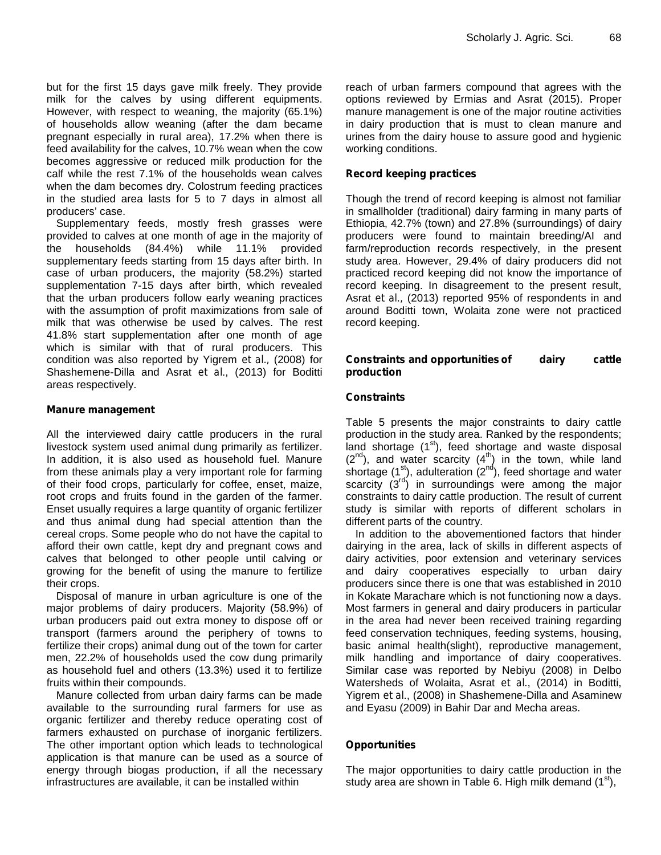but for the first 15 days gave milk freely. They provide milk for the calves by using different equipments. However, with respect to weaning, the majority (65.1%) of households allow weaning (after the dam became pregnant especially in rural area), 17.2% when there is feed availability for the calves, 10.7% wean when the cow becomes aggressive or reduced milk production for the calf while the rest 7.1% of the households wean calves when the dam becomes dry. Colostrum feeding practices in the studied area lasts for 5 to 7 days in almost all producers' case.

Supplementary feeds, mostly fresh grasses were provided to calves at one month of age in the majority of the households (84.4%) while 11.1% provided supplementary feeds starting from 15 days after birth. In case of urban producers, the majority (58.2%) started supplementation 7-15 days after birth, which revealed that the urban producers follow early weaning practices with the assumption of profit maximizations from sale of milk that was otherwise be used by calves. The rest 41.8% start supplementation after one month of age which is similar with that of rural producers. This condition was also reported by Yigrem *et al.,* (2008) for Shashemene-Dilla and Asrat *et al*., (2013) for Boditti areas respectively.

#### **Manure management**

All the interviewed dairy cattle producers in the rural livestock system used animal dung primarily as fertilizer. In addition, it is also used as household fuel. Manure from these animals play a very important role for farming of their food crops, particularly for coffee, enset, maize, root crops and fruits found in the garden of the farmer. Enset usually requires a large quantity of organic fertilizer and thus animal dung had special attention than the cereal crops. Some people who do not have the capital to afford their own cattle, kept dry and pregnant cows and calves that belonged to other people until calving or growing for the benefit of using the manure to fertilize their crops.

Disposal of manure in urban agriculture is one of the major problems of dairy producers. Majority (58.9%) of urban producers paid out extra money to dispose off or transport (farmers around the periphery of towns to fertilize their crops) animal dung out of the town for carter men, 22.2% of households used the cow dung primarily as household fuel and others (13.3%) used it to fertilize fruits within their compounds.

Manure collected from urban dairy farms can be made available to the surrounding rural farmers for use as organic fertilizer and thereby reduce operating cost of farmers exhausted on purchase of inorganic fertilizers. The other important option which leads to technological application is that manure can be used as a source of energy through biogas production, if all the necessary infrastructures are available, it can be installed within

reach of urban farmers compound that agrees with the options reviewed by Ermias and Asrat (2015). Proper manure management is one of the major routine activities in dairy production that is must to clean manure and urines from the dairy house to assure good and hygienic working conditions.

#### **Record keeping practices**

Though the trend of record keeping is almost not familiar in smallholder (traditional) dairy farming in many parts of Ethiopia, 42.7% (town) and 27.8% (surroundings) of dairy producers were found to maintain breeding/AI and farm/reproduction records respectively, in the present study area. However, 29.4% of dairy producers did not practiced record keeping did not know the importance of record keeping. In disagreement to the present result, Asrat *et al.,* (2013) reported 95% of respondents in and around Boditti town, Wolaita zone were not practiced record keeping.

#### **Constraints and opportunitiesof dairy cattle production**

#### **Constraints**

Table 5 presents the major constraints to dairy cattle production in the study area. Ranked by the respondents; land shortage  $(1<sup>st</sup>)$ , feed shortage and waste disposal  $(2^{nd})$ , and water scarcity  $(4^{th})$  in the town, while land shortage (1<sup>st</sup>), adulteration (2<sup>nd</sup>), feed shortage and water scarcity (3<sup>rd</sup>) in surroundings were among the major constraints to dairy cattle production. The result of current study is similar with reports of different scholars in different parts of the country.

In addition to the abovementioned factors that hinder dairying in the area, lack of skills in different aspects of dairy activities, poor extension and veterinary services and dairy cooperatives especially to urban dairy producers since there is one that was established in 2010 in Kokate Marachare which is not functioning now a days. Most farmers in general and dairy producers in particular in the area had never been received training regarding feed conservation techniques, feeding systems, housing, basic animal health(slight), reproductive management, milk handling and importance of dairy cooperatives. Similar case was reported by Nebiyu (2008) in Delbo Watersheds of Wolaita, Asrat *et al*., (2014) in Boditti, Yigrem *et al*., (2008) in Shashemene-Dilla and Asaminew and Eyasu (2009) in Bahir Dar and Mecha areas.

### **Opportunities**

The major opportunities to dairy cattle production in the study area are shown in Table 6. High milk demand  $(1^{st})$ ,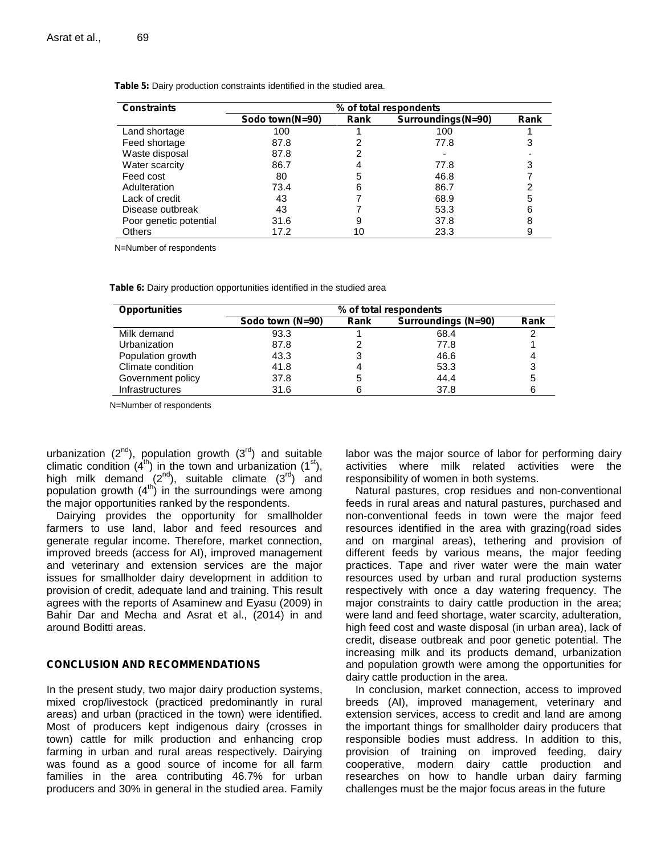| <b>Constraints</b>     | % of total respondents |      |                    |      |
|------------------------|------------------------|------|--------------------|------|
|                        | Sodo town(N=90)        | Rank | Surroundings(N=90) | Rank |
| Land shortage          | 100                    |      | 100                |      |
| Feed shortage          | 87.8                   |      | 77.8               | 3    |
| Waste disposal         | 87.8                   |      |                    |      |
| Water scarcity         | 86.7                   | 4    | 77.8               |      |
| Feed cost              | 80                     | 5    | 46.8               |      |
| Adulteration           | 73.4                   | 6    | 86.7               |      |
| Lack of credit         | 43                     |      | 68.9               | 5    |
| Disease outbreak       | 43                     |      | 53.3               | 6    |
| Poor genetic potential | 31.6                   | 9    | 37.8               |      |
| <b>Others</b>          | 17.2                   |      | 23.3               |      |

**Table 5:** Dairy production constraints identified in the studied area.

N=Number of respondents

**Table 6:** Dairy production opportunities identified in the studied area

| <b>Opportunities</b>   | % of total respondents |      |                     |      |
|------------------------|------------------------|------|---------------------|------|
|                        | Sodo town (N=90)       | Rank | Surroundings (N=90) | Rank |
| Milk demand            | 93.3                   |      | 68.4                |      |
| Urbanization           | 87.8                   |      | 77.8                |      |
| Population growth      | 43.3                   |      | 46.6                |      |
| Climate condition      | 41.8                   |      | 53.3                | 3    |
| Government policy      | 37.8                   |      | 44.4                | 5    |
| <b>Infrastructures</b> | 31.6                   |      | 37.8                |      |

N=Number of respondents

urbanization  $(2^{nd})$ , population growth  $(3^{rd})$  and suitable climatic condition  $(4<sup>th</sup>)$  in the town and urbanization  $(1<sup>st</sup>)$ , high milk demand  $(2^{nd})$ , suitable climate  $(3^{rd})$  and population growth  $(4<sup>th</sup>)$  in the surroundings were among the major opportunities ranked by the respondents.

Dairying provides the opportunity for smallholder farmers to use land, labor and feed resources and generate regular income. Therefore, market connection, improved breeds (access for AI), improved management and veterinary and extension services are the major issues for smallholder dairy development in addition to provision of credit, adequate land and training. This result agrees with the reports of Asaminew and Eyasu (2009) in Bahir Dar and Mecha and Asrat *et al*., (2014) in and around Boditti areas.

#### **CONCLUSION AND RECOMMENDATIONS**

In the present study, two major dairy production systems, mixed crop/livestock (practiced predominantly in rural areas) and urban (practiced in the town) were identified. Most of producers kept indigenous dairy (crosses in town) cattle for milk production and enhancing crop farming in urban and rural areas respectively. Dairying was found as a good source of income for all farm families in the area contributing 46.7% for urban producers and 30% in general in the studied area. Family

labor was the major source of labor for performing dairy activities where milk related activities were the responsibility of women in both systems.

Natural pastures, crop residues and non-conventional feeds in rural areas and natural pastures, purchased and non-conventional feeds in town were the major feed resources identified in the area with grazing(road sides and on marginal areas), tethering and provision of different feeds by various means, the major feeding practices. Tape and river water were the main water resources used by urban and rural production systems respectively with once a day watering frequency. The major constraints to dairy cattle production in the area; were land and feed shortage, water scarcity, adulteration, high feed cost and waste disposal (in urban area), lack of credit, disease outbreak and poor genetic potential. The increasing milk and its products demand, urbanization and population growth were among the opportunities for dairy cattle production in the area.

In conclusion, market connection, access to improved breeds (AI), improved management, veterinary and extension services, access to credit and land are among the important things for smallholder dairy producers that responsible bodies must address. In addition to this, provision of training on improved feeding, dairy cooperative, modern dairy cattle production and researches on how to handle urban dairy farming challenges must be the major focus areas in the future